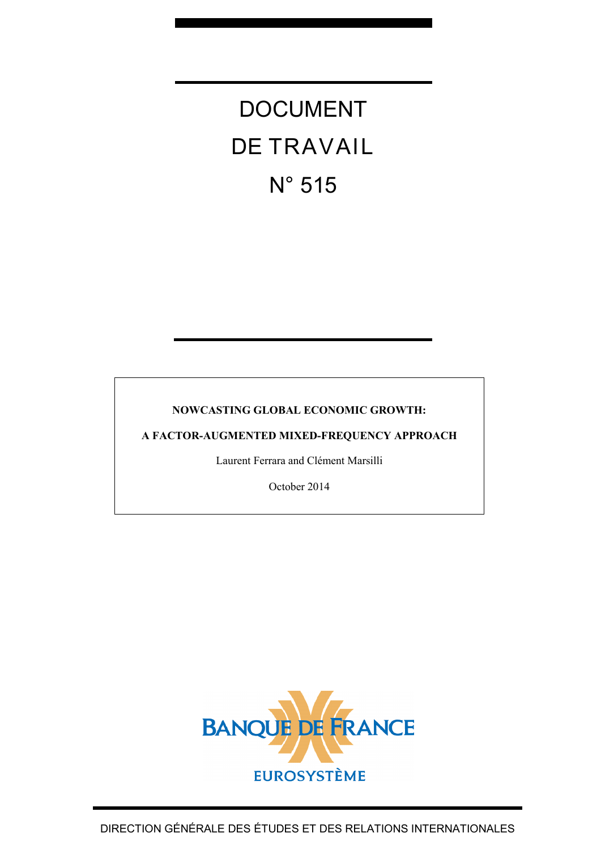# DOCUMENT DE TRAVAIL N° 515

# **NOWCASTING GLOBAL ECONOMIC GROWTH:**

**A FACTOR-AUGMENTED MIXED-FREQUENCY APPROACH**

Laurent Ferrara and Clément Marsilli

October 2014

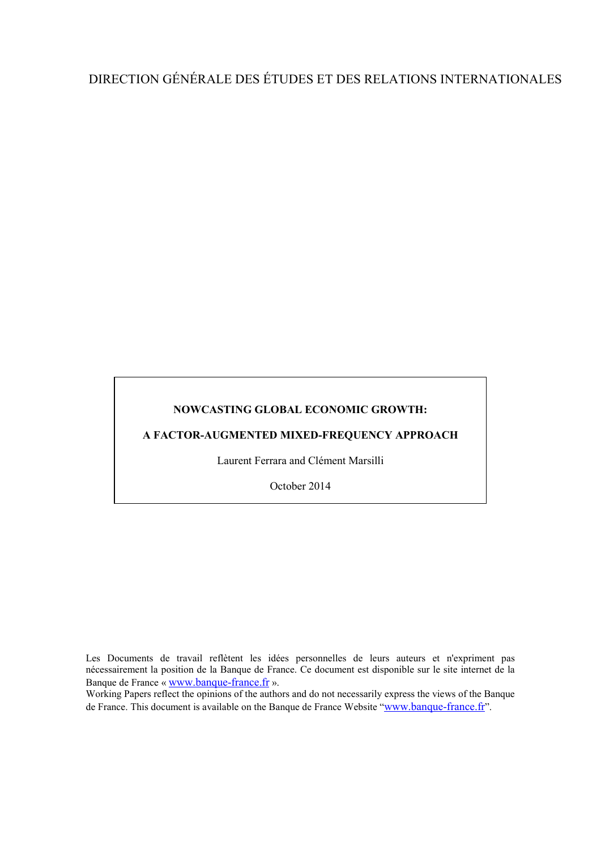# DIRECTION GÉNÉRALE DES ÉTUDES ET DES RELATIONS INTERNATIONALES

### **NOWCASTING GLOBAL ECONOMIC GROWTH:**

**A FACTOR-AUGMENTED MIXED-FREQUENCY APPROACH**

Laurent Ferrara and Clément Marsilli

October 2014

Les Documents de travail reflètent les idées personnelles de leurs auteurs et n'expriment pas nécessairement la position de la Banque de France. Ce document est disponible sur le site internet de la Banque de France « [www.banque-france.fr](http://www.banque-france.fr/) ».

Working Papers reflect the opinions of the authors and do not necessarily express the views of the Banque de France. This document is available on the Banque de France Website ["www.banque-france.fr"](http://www.banque-france.fr/).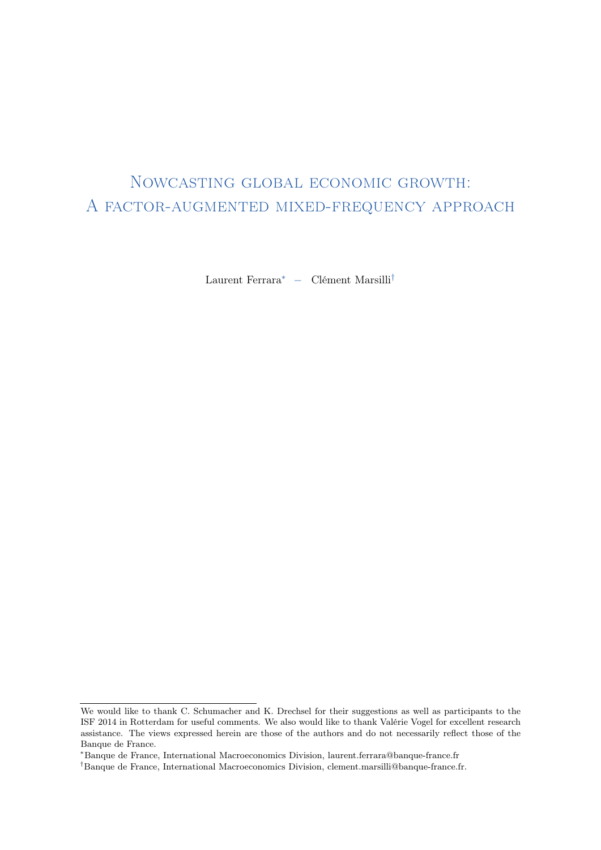# <span id="page-2-0"></span>Nowcasting global economic growth: A factor-augmented mixed-frequency approach

Laurent Ferrara<sup>∗</sup> − Clément Marsilli†

We would like to thank C. Schumacher and K. Drechsel for their suggestions as well as participants to the ISF 2014 in Rotterdam for useful comments. We also would like to thank Valérie Vogel for excellent research assistance. The views expressed herein are those of the authors and do not necessarily reflect those of the Banque de France.

<sup>∗</sup>Banque de France, International Macroeconomics Division, laurent.ferrara@banque-france.fr

<sup>†</sup>Banque de France, International Macroeconomics Division, clement.marsilli@banque-france.fr.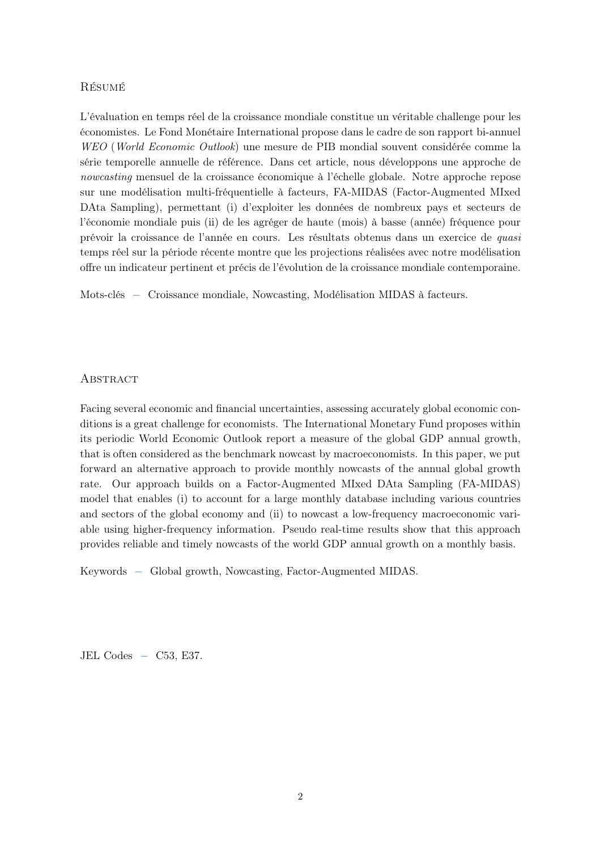#### Résumé

L'évaluation en temps réel de la croissance mondiale constitue un véritable challenge pour les économistes. Le Fond Monétaire International propose dans le cadre de son rapport bi-annuel WEO (World Economic Outlook) une mesure de PIB mondial souvent considérée comme la série temporelle annuelle de référence. Dans cet article, nous développons une approche de nowcasting mensuel de la croissance économique à l'échelle globale. Notre approche repose sur une modélisation multi-fréquentielle à facteurs, FA-MIDAS (Factor-Augmented MIxed DAta Sampling), permettant (i) d'exploiter les données de nombreux pays et secteurs de l'économie mondiale puis (ii) de les agréger de haute (mois) à basse (année) fréquence pour prévoir la croissance de l'année en cours. Les résultats obtenus dans un exercice de quasi temps réel sur la période récente montre que les projections réalisées avec notre modélisation offre un indicateur pertinent et précis de l'évolution de la croissance mondiale contemporaine.

Mots-clés − Croissance mondiale, Nowcasting, Modélisation MIDAS à facteurs.

#### **ABSTRACT**

Facing several economic and financial uncertainties, assessing accurately global economic conditions is a great challenge for economists. The International Monetary Fund proposes within its periodic World Economic Outlook report a measure of the global GDP annual growth, that is often considered as the benchmark nowcast by macroeconomists. In this paper, we put forward an alternative approach to provide monthly nowcasts of the annual global growth rate. Our approach builds on a Factor-Augmented MIxed DAta Sampling (FA-MIDAS) model that enables (i) to account for a large monthly database including various countries and sectors of the global economy and (ii) to nowcast a low-frequency macroeconomic variable using higher-frequency information. Pseudo real-time results show that this approach provides reliable and timely nowcasts of the world GDP annual growth on a monthly basis.

Keywords − Global growth, Nowcasting, Factor-Augmented MIDAS.

JEL Codes  $-$  C53, E37.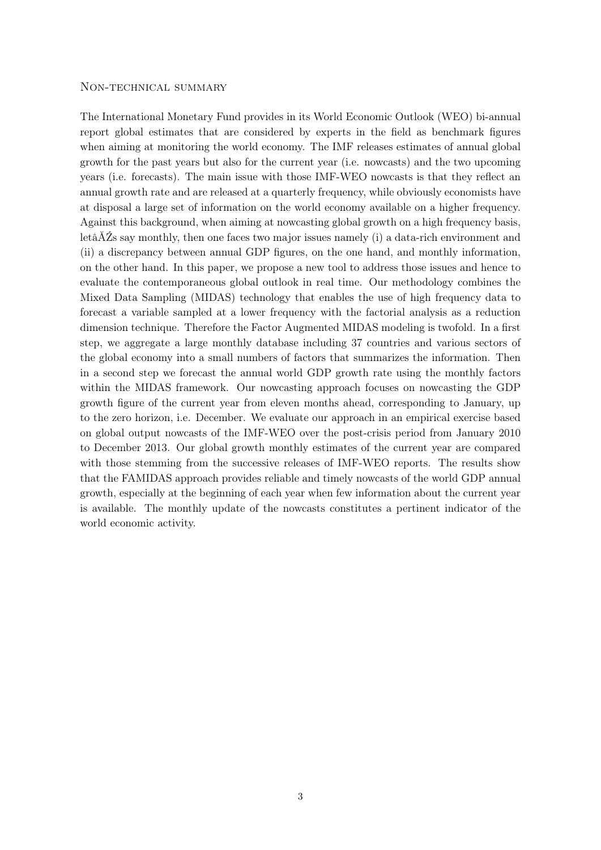#### Non-technical summary

The International Monetary Fund provides in its World Economic Outlook (WEO) bi-annual report global estimates that are considered by experts in the field as benchmark figures when aiming at monitoring the world economy. The IMF releases estimates of annual global growth for the past years but also for the current year (i.e. nowcasts) and the two upcoming years (i.e. forecasts). The main issue with those IMF-WEO nowcasts is that they reflect an annual growth rate and are released at a quarterly frequency, while obviously economists have at disposal a large set of information on the world economy available on a higher frequency. Against this background, when aiming at nowcasting global growth on a high frequency basis, letâĂŹs say monthly, then one faces two major issues namely (i) a data-rich environment and (ii) a discrepancy between annual GDP figures, on the one hand, and monthly information, on the other hand. In this paper, we propose a new tool to address those issues and hence to evaluate the contemporaneous global outlook in real time. Our methodology combines the Mixed Data Sampling (MIDAS) technology that enables the use of high frequency data to forecast a variable sampled at a lower frequency with the factorial analysis as a reduction dimension technique. Therefore the Factor Augmented MIDAS modeling is twofold. In a first step, we aggregate a large monthly database including 37 countries and various sectors of the global economy into a small numbers of factors that summarizes the information. Then in a second step we forecast the annual world GDP growth rate using the monthly factors within the MIDAS framework. Our nowcasting approach focuses on nowcasting the GDP growth figure of the current year from eleven months ahead, corresponding to January, up to the zero horizon, i.e. December. We evaluate our approach in an empirical exercise based on global output nowcasts of the IMF-WEO over the post-crisis period from January 2010 to December 2013. Our global growth monthly estimates of the current year are compared with those stemming from the successive releases of IMF-WEO reports. The results show that the FAMIDAS approach provides reliable and timely nowcasts of the world GDP annual growth, especially at the beginning of each year when few information about the current year is available. The monthly update of the nowcasts constitutes a pertinent indicator of the world economic activity.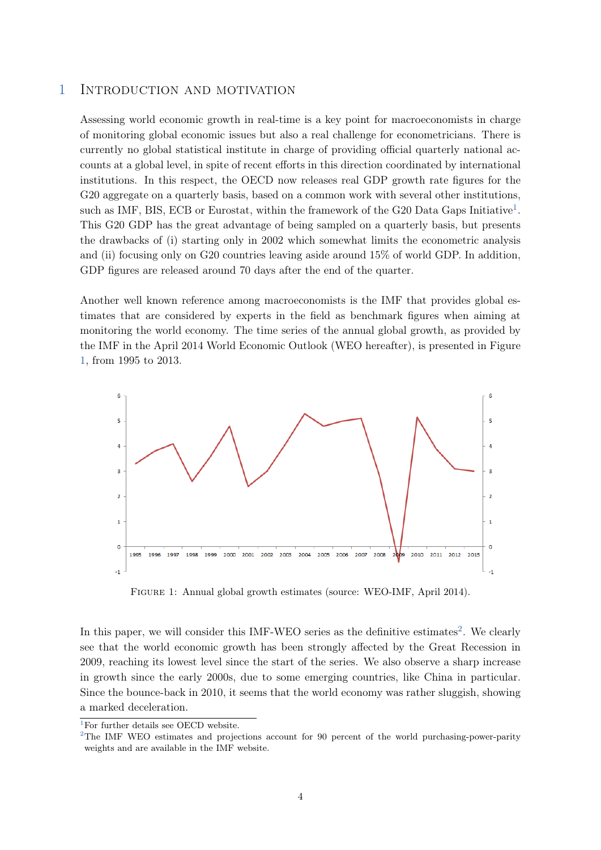# 1 Introduction and motivation

Assessing world economic growth in real-time is a key point for macroeconomists in charge of monitoring global economic issues but also a real challenge for econometricians. There is currently no global statistical institute in charge of providing official quarterly national accounts at a global level, in spite of recent efforts in this direction coordinated by international institutions. In this respect, the OECD now releases real GDP growth rate figures for the G20 aggregate on a quarterly basis, based on a common work with several other institutions, such as IMF, BIS, ECB or Eurostat, within the framework of the G20 Data Gaps Initiative<sup>[1](#page-2-0)</sup>. This G20 GDP has the great advantage of being sampled on a quarterly basis, but presents the drawbacks of (i) starting only in 2002 which somewhat limits the econometric analysis and (ii) focusing only on G20 countries leaving aside around 15% of world GDP. In addition, GDP figures are released around 70 days after the end of the quarter.

Another well known reference among macroeconomists is the IMF that provides global estimates that are considered by experts in the field as benchmark figures when aiming at monitoring the world economy. The time series of the annual global growth, as provided by the IMF in the April 2014 World Economic Outlook (WEO hereafter), is presented in Figure [1,](#page-5-0) from 1995 to 2013.

<span id="page-5-0"></span>

Figure 1: Annual global growth estimates (source: WEO-IMF, April 2014).

In this paper, we will consider this IMF-WEO series as the definitive estimates<sup>[2](#page-2-0)</sup>. We clearly see that the world economic growth has been strongly affected by the Great Recession in 2009, reaching its lowest level since the start of the series. We also observe a sharp increase in growth since the early 2000s, due to some emerging countries, like China in particular. Since the bounce-back in 2010, it seems that the world economy was rather sluggish, showing a marked deceleration.

<sup>&</sup>lt;sup>1</sup>For further details see OECD website.

<sup>&</sup>lt;sup>2</sup>The IMF WEO estimates and projections account for 90 percent of the world purchasing-power-parity weights and are available in the IMF website.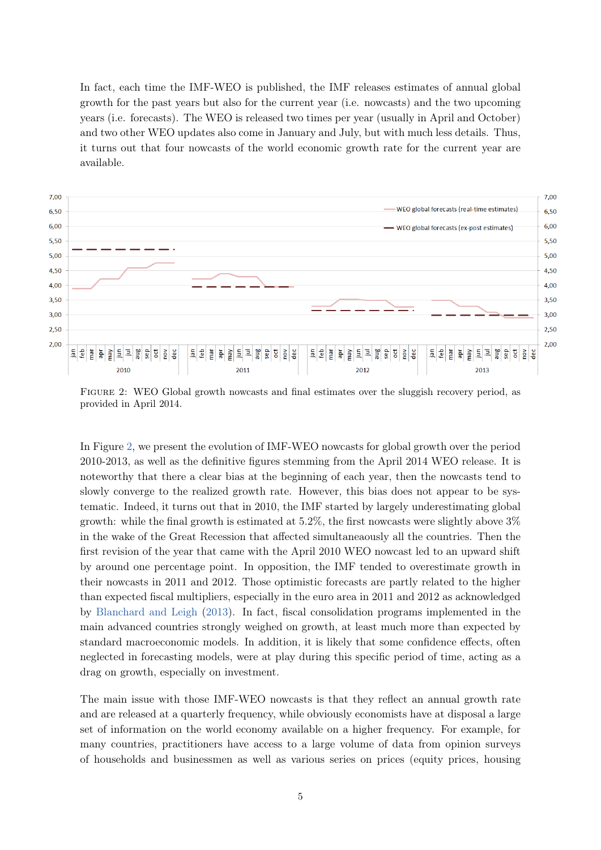In fact, each time the IMF-WEO is published, the IMF releases estimates of annual global growth for the past years but also for the current year (i.e. nowcasts) and the two upcoming years (i.e. forecasts). The WEO is released two times per year (usually in April and October) and two other WEO updates also come in January and July, but with much less details. Thus, it turns out that four nowcasts of the world economic growth rate for the current year are available.

<span id="page-6-0"></span>

FIGURE 2: WEO Global growth nowcasts and final estimates over the sluggish recovery period, as provided in April 2014.

In Figure [2,](#page-6-0) we present the evolution of IMF-WEO nowcasts for global growth over the period 2010-2013, as well as the definitive figures stemming from the April 2014 WEO release. It is noteworthy that there a clear bias at the beginning of each year, then the nowcasts tend to slowly converge to the realized growth rate. However, this bias does not appear to be systematic. Indeed, it turns out that in 2010, the IMF started by largely underestimating global growth: while the final growth is estimated at 5.2%, the first nowcasts were slightly above 3% in the wake of the Great Recession that affected simultaneaously all the countries. Then the first revision of the year that came with the April 2010 WEO nowcast led to an upward shift by around one percentage point. In opposition, the IMF tended to overestimate growth in their nowcasts in 2011 and 2012. Those optimistic forecasts are partly related to the higher than expected fiscal multipliers, especially in the euro area in 2011 and 2012 as acknowledged by [Blanchard and Leigh](#page-14-0) [\(2013\)](#page-14-0). In fact, fiscal consolidation programs implemented in the main advanced countries strongly weighed on growth, at least much more than expected by standard macroeconomic models. In addition, it is likely that some confidence effects, often neglected in forecasting models, were at play during this specific period of time, acting as a drag on growth, especially on investment.

The main issue with those IMF-WEO nowcasts is that they reflect an annual growth rate and are released at a quarterly frequency, while obviously economists have at disposal a large set of information on the world economy available on a higher frequency. For example, for many countries, practitioners have access to a large volume of data from opinion surveys of households and businessmen as well as various series on prices (equity prices, housing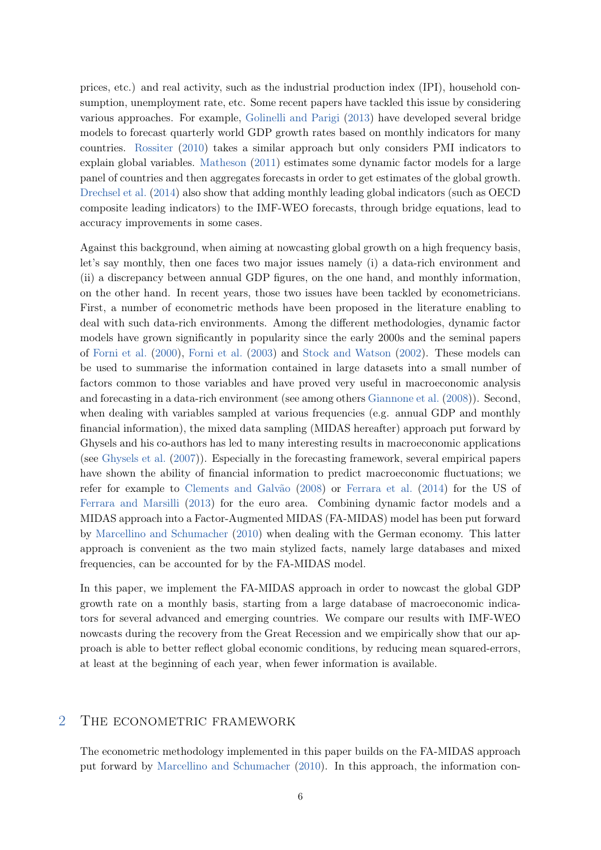prices, etc.) and real activity, such as the industrial production index (IPI), household consumption, unemployment rate, etc. Some recent papers have tackled this issue by considering various approaches. For example, [Golinelli and Parigi](#page-15-0) [\(2013\)](#page-15-0) have developed several bridge models to forecast quarterly world GDP growth rates based on monthly indicators for many countries. [Rossiter](#page-15-1) [\(2010\)](#page-15-1) takes a similar approach but only considers PMI indicators to explain global variables. [Matheson](#page-15-2) [\(2011\)](#page-15-2) estimates some dynamic factor models for a large panel of countries and then aggregates forecasts in order to get estimates of the global growth. [Drechsel et al.](#page-14-1) [\(2014\)](#page-14-1) also show that adding monthly leading global indicators (such as OECD composite leading indicators) to the IMF-WEO forecasts, through bridge equations, lead to accuracy improvements in some cases.

Against this background, when aiming at nowcasting global growth on a high frequency basis, let's say monthly, then one faces two major issues namely (i) a data-rich environment and (ii) a discrepancy between annual GDP figures, on the one hand, and monthly information, on the other hand. In recent years, those two issues have been tackled by econometricians. First, a number of econometric methods have been proposed in the literature enabling to deal with such data-rich environments. Among the different methodologies, dynamic factor models have grown significantly in popularity since the early 2000s and the seminal papers of [Forni et al.](#page-14-2) [\(2000\)](#page-14-2), [Forni et al.](#page-14-3) [\(2003\)](#page-14-3) and [Stock and Watson](#page-15-3) [\(2002\)](#page-15-3). These models can be used to summarise the information contained in large datasets into a small number of factors common to those variables and have proved very useful in macroeconomic analysis and forecasting in a data-rich environment (see among others [Giannone et al.](#page-14-4) [\(2008\)](#page-14-4)). Second, when dealing with variables sampled at various frequencies (e.g. annual GDP and monthly financial information), the mixed data sampling (MIDAS hereafter) approach put forward by Ghysels and his co-authors has led to many interesting results in macroeconomic applications (see [Ghysels et al.](#page-14-5) [\(2007\)](#page-14-5)). Especially in the forecasting framework, several empirical papers have shown the ability of financial information to predict macroeconomic fluctuations; we refer for example to [Clements and Galvão](#page-14-6) [\(2008\)](#page-14-6) or [Ferrara et al.](#page-14-7) [\(2014\)](#page-14-7) for the US of [Ferrara and Marsilli](#page-14-8) [\(2013\)](#page-14-8) for the euro area. Combining dynamic factor models and a MIDAS approach into a Factor-Augmented MIDAS (FA-MIDAS) model has been put forward by [Marcellino and Schumacher](#page-15-4) [\(2010\)](#page-15-4) when dealing with the German economy. This latter approach is convenient as the two main stylized facts, namely large databases and mixed frequencies, can be accounted for by the FA-MIDAS model.

In this paper, we implement the FA-MIDAS approach in order to nowcast the global GDP growth rate on a monthly basis, starting from a large database of macroeconomic indicators for several advanced and emerging countries. We compare our results with IMF-WEO nowcasts during the recovery from the Great Recession and we empirically show that our approach is able to better reflect global economic conditions, by reducing mean squared-errors, at least at the beginning of each year, when fewer information is available.

## 2 THE ECONOMETRIC FRAMEWORK

The econometric methodology implemented in this paper builds on the FA-MIDAS approach put forward by [Marcellino and Schumacher](#page-15-4) [\(2010\)](#page-15-4). In this approach, the information con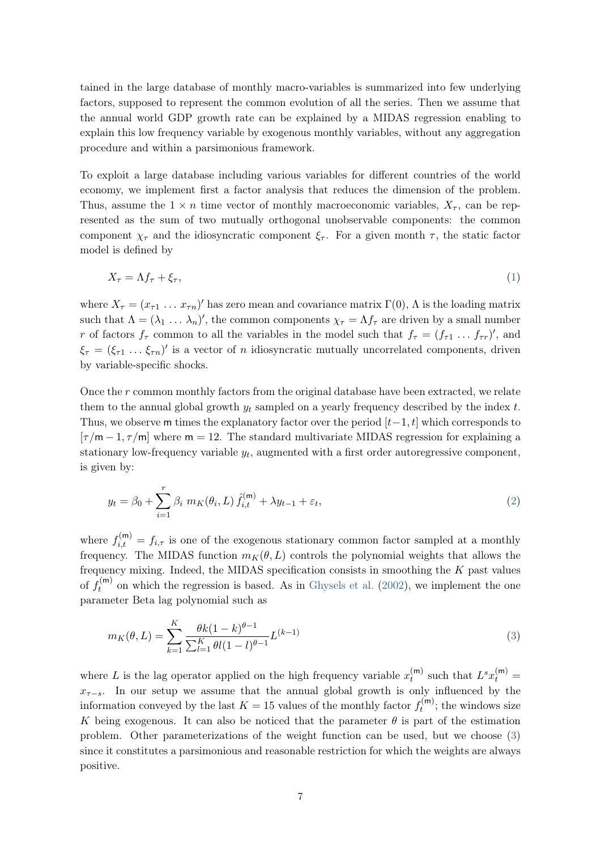tained in the large database of monthly macro-variables is summarized into few underlying factors, supposed to represent the common evolution of all the series. Then we assume that the annual world GDP growth rate can be explained by a MIDAS regression enabling to explain this low frequency variable by exogenous monthly variables, without any aggregation procedure and within a parsimonious framework.

To exploit a large database including various variables for different countries of the world economy, we implement first a factor analysis that reduces the dimension of the problem. Thus, assume the  $1 \times n$  time vector of monthly macroeconomic variables,  $X_{\tau}$ , can be represented as the sum of two mutually orthogonal unobservable components: the common component  $\chi_{\tau}$  and the idiosyncratic component  $\xi_{\tau}$ . For a given month  $\tau$ , the static factor model is defined by

<span id="page-8-1"></span>
$$
X_{\tau} = \Lambda f_{\tau} + \xi_{\tau},\tag{1}
$$

where  $X_{\tau} = (x_{\tau 1} \dots x_{\tau n})'$  has zero mean and covariance matrix  $\Gamma(0)$ ,  $\Lambda$  is the loading matrix such that  $\Lambda = (\lambda_1 \ldots \lambda_n)'$ , the common components  $\chi_{\tau} = \Lambda f_{\tau}$  are driven by a small number r of factors  $f_{\tau}$  common to all the variables in the model such that  $f_{\tau} = (f_{\tau 1} \dots f_{\tau r})'$ , and  $\xi_{\tau} = (\xi_{\tau 1} \dots \xi_{\tau n})'$  is a vector of *n* idiosyncratic mutually uncorrelated components, driven by variable-specific shocks.

Once the  $r$  common monthly factors from the original database have been extracted, we relate them to the annual global growth  $y_t$  sampled on a yearly frequency described by the index  $t$ . Thus, we observe m times the explanatory factor over the period  $[t-1, t]$  which corresponds to  $[\tau/m-1,\tau/m]$  where  $m=12$ . The standard multivariate MIDAS regression for explaining a stationary low-frequency variable  $y_t$ , augmented with a first order autoregressive component, is given by:

<span id="page-8-2"></span>
$$
y_t = \beta_0 + \sum_{i=1}^r \beta_i \ m_K(\theta_i, L) \ \hat{f}_{i,t}^{(m)} + \lambda y_{t-1} + \varepsilon_t,
$$
\n(2)

where  $f_{i,t}^{(m)} = f_{i,\tau}$  is one of the exogenous stationary common factor sampled at a monthly frequency. The MIDAS function  $m_K(\theta, L)$  controls the polynomial weights that allows the frequency mixing. Indeed, the MIDAS specification consists in smoothing the  $K$  past values of  $f_t^{(m)}$  $t_t^{(m)}$  on which the regression is based. As in [Ghysels et al.](#page-14-9) [\(2002\)](#page-14-9), we implement the one parameter Beta lag polynomial such as

<span id="page-8-0"></span>
$$
m_K(\theta, L) = \sum_{k=1}^K \frac{\theta k (1 - k)^{\theta - 1}}{\sum_{l=1}^K \theta l (1 - l)^{\theta - 1}} L^{(k-1)}
$$
(3)

where L is the lag operator applied on the high frequency variable  $x_t^{(m)}$  $t_t^{(m)}$  such that  $L^s x_t^{(m)} =$  $x_{\tau-s}$ . In our setup we assume that the annual global growth is only influenced by the information conveyed by the last  $K = 15$  values of the monthly factor  $f_t^{(m)}$  $t_t^{\text{(m)}}$ ; the windows size K being exogenous. It can also be noticed that the parameter  $\theta$  is part of the estimation problem. Other parameterizations of the weight function can be used, but we choose [\(3\)](#page-8-0) since it constitutes a parsimonious and reasonable restriction for which the weights are always positive.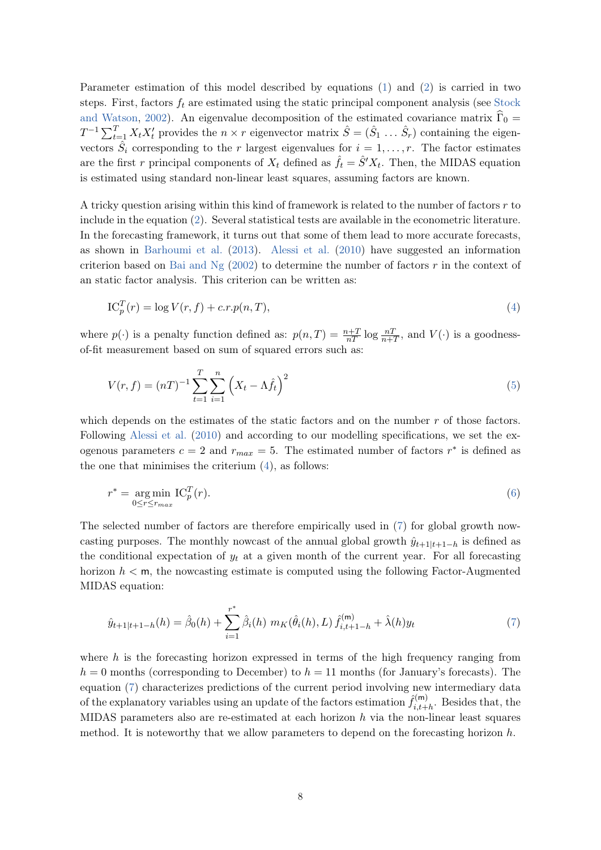Parameter estimation of this model described by equations [\(1\)](#page-8-1) and [\(2\)](#page-8-2) is carried in two steps. First, factors  $f_t$  are estimated using the static principal component analysis (see [Stock](#page-15-3) [and Watson,](#page-15-3) [2002\)](#page-15-3). An eigenvalue decomposition of the estimated covariance matrix  $\hat{\Gamma}_0$  =  $T^{-1}\sum_{t=1}^{T} X_t X_t'$  provides the  $n \times r$  eigenvector matrix  $\hat{S} = (\hat{S}_1 \dots \hat{S}_r)$  containing the eigenvectors  $\hat{S}_i$  corresponding to the r largest eigenvalues for  $i = 1, \ldots, r$ . The factor estimates are the first r principal components of  $X_t$  defined as  $\hat{f}_t = \hat{S}' X_t$ . Then, the MIDAS equation is estimated using standard non-linear least squares, assuming factors are known.

A tricky question arising within this kind of framework is related to the number of factors  $r$  to include in the equation [\(2\)](#page-8-2). Several statistical tests are available in the econometric literature. In the forecasting framework, it turns out that some of them lead to more accurate forecasts, as shown in [Barhoumi et al.](#page-14-10) [\(2013\)](#page-14-10). [Alessi et al.](#page-14-11) [\(2010\)](#page-14-11) have suggested an information criterion based on Bai and  $Ng(2002)$  $Ng(2002)$  to determine the number of factors r in the context of an static factor analysis. This criterion can be written as:

<span id="page-9-0"></span>
$$
IC_p^T(r) = \log V(r, f) + c.r.p(n, T),\tag{4}
$$

where  $p(\cdot)$  is a penalty function defined as:  $p(n,T) = \frac{n+T}{nT} \log \frac{nT}{n+T}$ , and  $V(\cdot)$  is a goodnessof-fit measurement based on sum of squared errors such as:

$$
V(r, f) = (nT)^{-1} \sum_{t=1}^{T} \sum_{i=1}^{n} \left( X_t - \Lambda \hat{f}_t \right)^2
$$
\n(5)

which depends on the estimates of the static factors and on the number  $r$  of those factors. Following [Alessi et al.](#page-14-11) [\(2010\)](#page-14-11) and according to our modelling specifications, we set the exogenous parameters  $c = 2$  and  $r_{max} = 5$ . The estimated number of factors  $r^*$  is defined as the one that minimises the criterium  $(4)$ , as follows:

$$
r^* = \underset{0 \le r \le r_{max}}{\arg \min} \mathrm{IC}_p^T(r). \tag{6}
$$

The selected number of factors are therefore empirically used in [\(7\)](#page-9-1) for global growth nowcasting purposes. The monthly nowcast of the annual global growth  $\hat{y}_{t+1|t+1-h}$  is defined as the conditional expectation of  $y_t$  at a given month of the current year. For all forecasting horizon  $h < \mathsf{m}$ , the nowcasting estimate is computed using the following Factor-Augmented MIDAS equation:

<span id="page-9-1"></span>
$$
\hat{y}_{t+1|t+1-h}(h) = \hat{\beta}_0(h) + \sum_{i=1}^{r^*} \hat{\beta}_i(h) \ m_K(\hat{\theta}_i(h), L) \ \hat{f}_{i,t+1-h}^{(m)} + \hat{\lambda}(h) y_t \tag{7}
$$

where  $h$  is the forecasting horizon expressed in terms of the high frequency ranging from  $h = 0$  months (corresponding to December) to  $h = 11$  months (for January's forecasts). The equation [\(7\)](#page-9-1) characterizes predictions of the current period involving new intermediary data of the explanatory variables using an update of the factors estimation  $\hat{f}_{i,t+1}^{(m)}$  $\sum_{i,t+h}^{\text{(m)}}$ . Besides that, the MIDAS parameters also are re-estimated at each horizon  $h$  via the non-linear least squares method. It is noteworthy that we allow parameters to depend on the forecasting horizon  $h$ .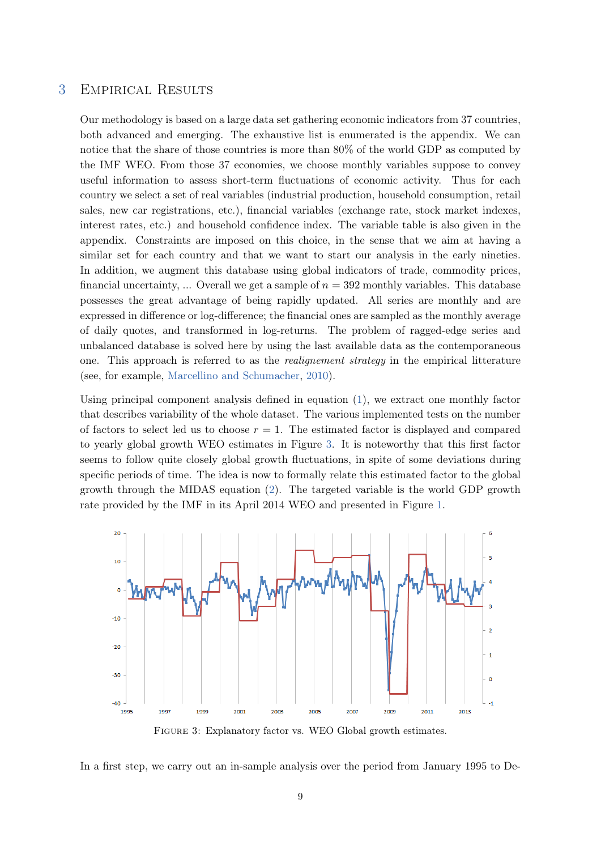## 3 Empirical Results

Our methodology is based on a large data set gathering economic indicators from 37 countries, both advanced and emerging. The exhaustive list is enumerated is the appendix. We can notice that the share of those countries is more than 80% of the world GDP as computed by the IMF WEO. From those 37 economies, we choose monthly variables suppose to convey useful information to assess short-term fluctuations of economic activity. Thus for each country we select a set of real variables (industrial production, household consumption, retail sales, new car registrations, etc.), financial variables (exchange rate, stock market indexes, interest rates, etc.) and household confidence index. The variable table is also given in the appendix. Constraints are imposed on this choice, in the sense that we aim at having a similar set for each country and that we want to start our analysis in the early nineties. In addition, we augment this database using global indicators of trade, commodity prices, financial uncertainty, ... Overall we get a sample of  $n = 392$  monthly variables. This database possesses the great advantage of being rapidly updated. All series are monthly and are expressed in difference or log-difference; the financial ones are sampled as the monthly average of daily quotes, and transformed in log-returns. The problem of ragged-edge series and unbalanced database is solved here by using the last available data as the contemporaneous one. This approach is referred to as the realignement strategy in the empirical litterature (see, for example, [Marcellino and Schumacher,](#page-15-4) [2010\)](#page-15-4).

Using principal component analysis defined in equation [\(1\)](#page-8-1), we extract one monthly factor that describes variability of the whole dataset. The various implemented tests on the number of factors to select led us to choose  $r = 1$ . The estimated factor is displayed and compared to yearly global growth WEO estimates in Figure [3.](#page-10-0) It is noteworthy that this first factor seems to follow quite closely global growth fluctuations, in spite of some deviations during specific periods of time. The idea is now to formally relate this estimated factor to the global growth through the MIDAS equation [\(2\)](#page-8-2). The targeted variable is the world GDP growth rate provided by the IMF in its April 2014 WEO and presented in Figure [1.](#page-5-0)

<span id="page-10-0"></span>

FIGURE 3: Explanatory factor vs. WEO Global growth estimates.

In a first step, we carry out an in-sample analysis over the period from January 1995 to De-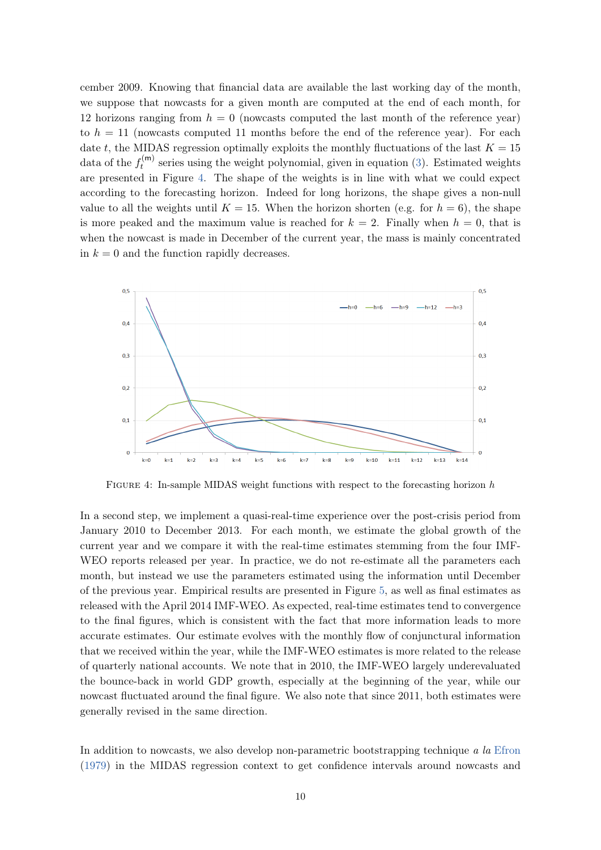cember 2009. Knowing that financial data are available the last working day of the month, we suppose that nowcasts for a given month are computed at the end of each month, for 12 horizons ranging from  $h = 0$  (nowcasts computed the last month of the reference year) to  $h = 11$  (nowcasts computed 11 months before the end of the reference year). For each date t, the MIDAS regression optimally exploits the monthly fluctuations of the last  $K = 15$ data of the  $f_t^{(m)}$  $t_t^{(m)}$  series using the weight polynomial, given in equation [\(3\)](#page-8-0). Estimated weights are presented in Figure [4.](#page-11-0) The shape of the weights is in line with what we could expect according to the forecasting horizon. Indeed for long horizons, the shape gives a non-null value to all the weights until  $K = 15$ . When the horizon shorten (e.g. for  $h = 6$ ), the shape is more peaked and the maximum value is reached for  $k = 2$ . Finally when  $h = 0$ , that is when the nowcast is made in December of the current year, the mass is mainly concentrated in  $k = 0$  and the function rapidly decreases.

<span id="page-11-0"></span>

Figure 4: In-sample MIDAS weight functions with respect to the forecasting horizon h

In a second step, we implement a quasi-real-time experience over the post-crisis period from January 2010 to December 2013. For each month, we estimate the global growth of the current year and we compare it with the real-time estimates stemming from the four IMF-WEO reports released per year. In practice, we do not re-estimate all the parameters each month, but instead we use the parameters estimated using the information until December of the previous year. Empirical results are presented in Figure [5,](#page-12-0) as well as final estimates as released with the April 2014 IMF-WEO. As expected, real-time estimates tend to convergence to the final figures, which is consistent with the fact that more information leads to more accurate estimates. Our estimate evolves with the monthly flow of conjunctural information that we received within the year, while the IMF-WEO estimates is more related to the release of quarterly national accounts. We note that in 2010, the IMF-WEO largely underevaluated the bounce-back in world GDP growth, especially at the beginning of the year, while our nowcast fluctuated around the final figure. We also note that since 2011, both estimates were generally revised in the same direction.

In addition to nowcasts, we also develop non-parametric bootstrapping technique a la [Efron](#page-14-13) [\(1979\)](#page-14-13) in the MIDAS regression context to get confidence intervals around nowcasts and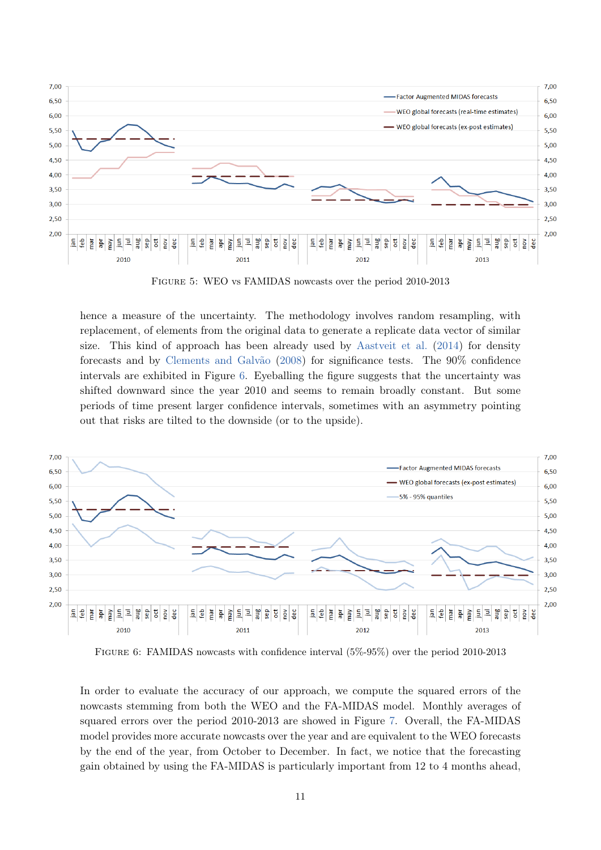<span id="page-12-0"></span>

Figure 5: WEO vs FAMIDAS nowcasts over the period 2010-2013

hence a measure of the uncertainty. The methodology involves random resampling, with replacement, of elements from the original data to generate a replicate data vector of similar size. This kind of approach has been already used by [Aastveit et al.](#page-14-14) [\(2014\)](#page-14-14) for density forecasts and by [Clements and Galvão](#page-14-6) [\(2008\)](#page-14-6) for significance tests. The 90% confidence intervals are exhibited in Figure [6.](#page-12-1) Eyeballing the figure suggests that the uncertainty was shifted downward since the year 2010 and seems to remain broadly constant. But some periods of time present larger confidence intervals, sometimes with an asymmetry pointing out that risks are tilted to the downside (or to the upside).

<span id="page-12-1"></span>

Figure 6: FAMIDAS nowcasts with confidence interval (5%-95%) over the period 2010-2013

In order to evaluate the accuracy of our approach, we compute the squared errors of the nowcasts stemming from both the WEO and the FA-MIDAS model. Monthly averages of squared errors over the period 2010-2013 are showed in Figure [7.](#page-13-0) Overall, the FA-MIDAS model provides more accurate nowcasts over the year and are equivalent to the WEO forecasts by the end of the year, from October to December. In fact, we notice that the forecasting gain obtained by using the FA-MIDAS is particularly important from 12 to 4 months ahead,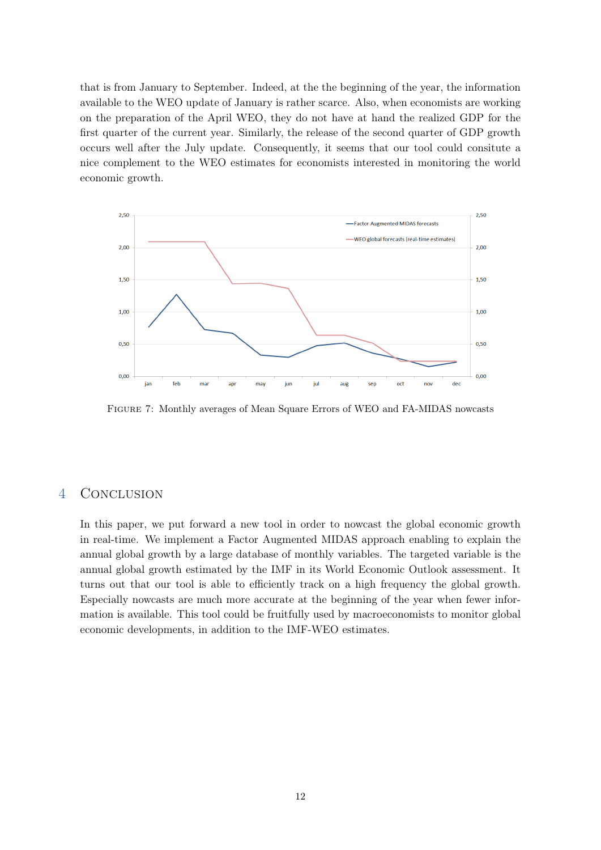that is from January to September. Indeed, at the the beginning of the year, the information available to the WEO update of January is rather scarce. Also, when economists are working on the preparation of the April WEO, they do not have at hand the realized GDP for the first quarter of the current year. Similarly, the release of the second quarter of GDP growth occurs well after the July update. Consequently, it seems that our tool could consitute a nice complement to the WEO estimates for economists interested in monitoring the world economic growth.

<span id="page-13-0"></span>

Figure 7: Monthly averages of Mean Square Errors of WEO and FA-MIDAS nowcasts

# 4 Conclusion

In this paper, we put forward a new tool in order to nowcast the global economic growth in real-time. We implement a Factor Augmented MIDAS approach enabling to explain the annual global growth by a large database of monthly variables. The targeted variable is the annual global growth estimated by the IMF in its World Economic Outlook assessment. It turns out that our tool is able to efficiently track on a high frequency the global growth. Especially nowcasts are much more accurate at the beginning of the year when fewer information is available. This tool could be fruitfully used by macroeconomists to monitor global economic developments, in addition to the IMF-WEO estimates.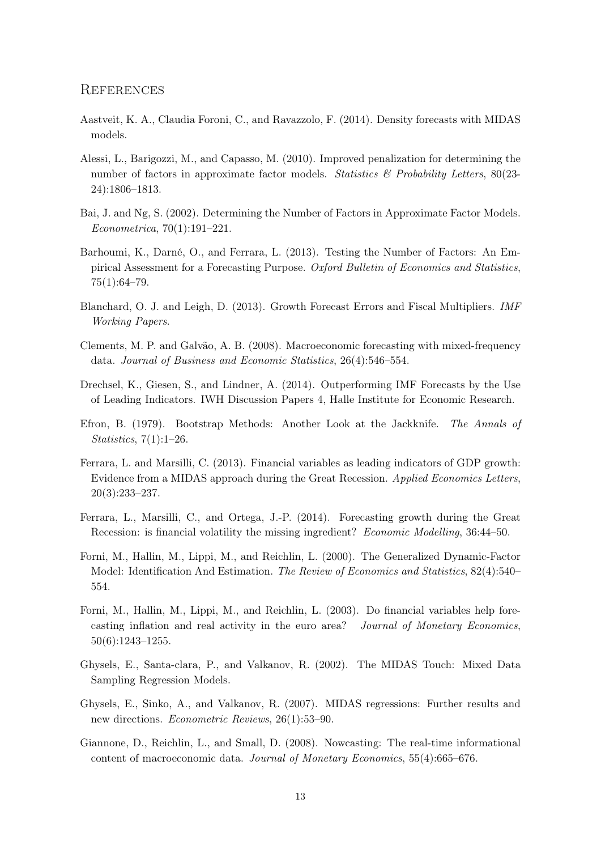#### **REFERENCES**

- <span id="page-14-14"></span>Aastveit, K. A., Claudia Foroni, C., and Ravazzolo, F. (2014). Density forecasts with MIDAS models.
- <span id="page-14-11"></span>Alessi, L., Barigozzi, M., and Capasso, M. (2010). Improved penalization for determining the number of factors in approximate factor models. Statistics  $\mathcal{B}$  Probability Letters, 80(23-24):1806–1813.
- <span id="page-14-12"></span>Bai, J. and Ng, S. (2002). Determining the Number of Factors in Approximate Factor Models. Econometrica, 70(1):191–221.
- <span id="page-14-10"></span>Barhoumi, K., Darné, O., and Ferrara, L. (2013). Testing the Number of Factors: An Empirical Assessment for a Forecasting Purpose. Oxford Bulletin of Economics and Statistics, 75(1):64–79.
- <span id="page-14-0"></span>Blanchard, O. J. and Leigh, D. (2013). Growth Forecast Errors and Fiscal Multipliers. IMF Working Papers.
- <span id="page-14-6"></span>Clements, M. P. and Galvão, A. B. (2008). Macroeconomic forecasting with mixed-frequency data. Journal of Business and Economic Statistics, 26(4):546–554.
- <span id="page-14-1"></span>Drechsel, K., Giesen, S., and Lindner, A. (2014). Outperforming IMF Forecasts by the Use of Leading Indicators. IWH Discussion Papers 4, Halle Institute for Economic Research.
- <span id="page-14-13"></span>Efron, B. (1979). Bootstrap Methods: Another Look at the Jackknife. The Annals of Statistics, 7(1):1–26.
- <span id="page-14-8"></span>Ferrara, L. and Marsilli, C. (2013). Financial variables as leading indicators of GDP growth: Evidence from a MIDAS approach during the Great Recession. Applied Economics Letters, 20(3):233–237.
- <span id="page-14-7"></span>Ferrara, L., Marsilli, C., and Ortega, J.-P. (2014). Forecasting growth during the Great Recession: is financial volatility the missing ingredient? Economic Modelling, 36:44–50.
- <span id="page-14-2"></span>Forni, M., Hallin, M., Lippi, M., and Reichlin, L. (2000). The Generalized Dynamic-Factor Model: Identification And Estimation. The Review of Economics and Statistics, 82(4):540– 554.
- <span id="page-14-3"></span>Forni, M., Hallin, M., Lippi, M., and Reichlin, L. (2003). Do financial variables help forecasting inflation and real activity in the euro area? Journal of Monetary Economics, 50(6):1243–1255.
- <span id="page-14-9"></span>Ghysels, E., Santa-clara, P., and Valkanov, R. (2002). The MIDAS Touch: Mixed Data Sampling Regression Models.
- <span id="page-14-5"></span>Ghysels, E., Sinko, A., and Valkanov, R. (2007). MIDAS regressions: Further results and new directions. Econometric Reviews, 26(1):53–90.
- <span id="page-14-4"></span>Giannone, D., Reichlin, L., and Small, D. (2008). Nowcasting: The real-time informational content of macroeconomic data. Journal of Monetary Economics, 55(4):665–676.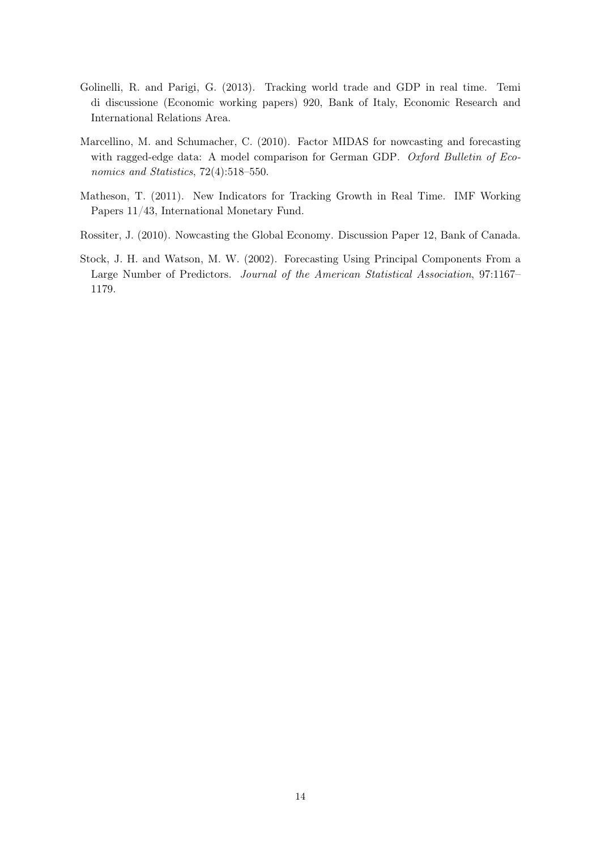- <span id="page-15-0"></span>Golinelli, R. and Parigi, G. (2013). Tracking world trade and GDP in real time. Temi di discussione (Economic working papers) 920, Bank of Italy, Economic Research and International Relations Area.
- <span id="page-15-4"></span>Marcellino, M. and Schumacher, C. (2010). Factor MIDAS for nowcasting and forecasting with ragged-edge data: A model comparison for German GDP. Oxford Bulletin of Economics and Statistics, 72(4):518–550.
- <span id="page-15-2"></span>Matheson, T. (2011). New Indicators for Tracking Growth in Real Time. IMF Working Papers 11/43, International Monetary Fund.
- <span id="page-15-1"></span>Rossiter, J. (2010). Nowcasting the Global Economy. Discussion Paper 12, Bank of Canada.
- <span id="page-15-3"></span>Stock, J. H. and Watson, M. W. (2002). Forecasting Using Principal Components From a Large Number of Predictors. Journal of the American Statistical Association, 97:1167– 1179.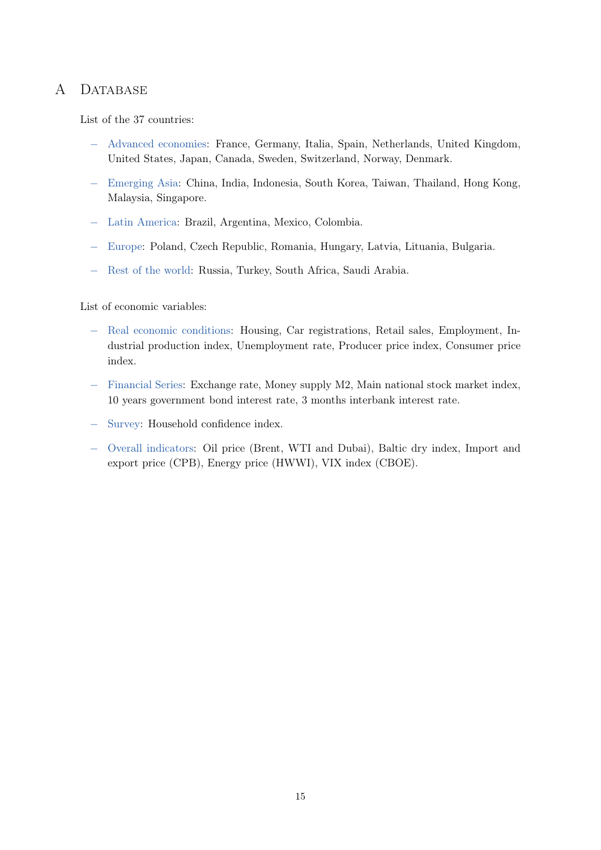# A DATABASE

List of the 37 countries:

- − Advanced economies: France, Germany, Italia, Spain, Netherlands, United Kingdom, United States, Japan, Canada, Sweden, Switzerland, Norway, Denmark.
- − Emerging Asia: China, India, Indonesia, South Korea, Taiwan, Thailand, Hong Kong, Malaysia, Singapore.
- − Latin America: Brazil, Argentina, Mexico, Colombia.
- − Europe: Poland, Czech Republic, Romania, Hungary, Latvia, Lituania, Bulgaria.
- − Rest of the world: Russia, Turkey, South Africa, Saudi Arabia.

List of economic variables:

- − Real economic conditions: Housing, Car registrations, Retail sales, Employment, Industrial production index, Unemployment rate, Producer price index, Consumer price index.
- − Financial Series: Exchange rate, Money supply M2, Main national stock market index, 10 years government bond interest rate, 3 months interbank interest rate.
- − Survey: Household confidence index.
- − Overall indicators: Oil price (Brent, WTI and Dubai), Baltic dry index, Import and export price (CPB), Energy price (HWWI), VIX index (CBOE).